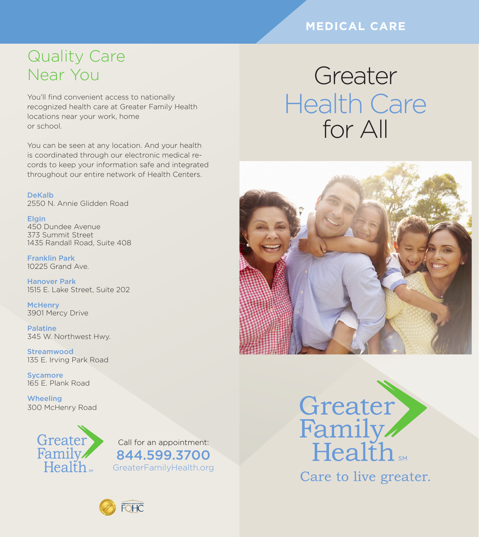### **MEDICAL CARE**

Greater

## Quality Care Near You

You'll find convenient access to nationally recognized health care at Greater Family Health locations near your work, home or school.

You can be seen at any location. And your health is coordinated through our electronic medical records to keep your information safe and integrated throughout our entire network of Health Centers.

DeKalb 2550 N. Annie Glidden Road

**Elgin** 450 Dundee Avenue 373 Summit Street 1435 Randall Road, Suite 408

Franklin Park 10225 Grand Ave.

Hanover Park 1515 E. Lake Street, Suite 202

**McHenry** 3901 Mercy Drive

Palatine 345 W. Northwest Hwy.

**Streamwood** 135 E. Irving Park Road

**Sycamore** 165 E. Plank Road

**Wheeling** 300 McHenry Road



Call for an appointment: 844.599.3700 GreaterFamilyHealth.org

# Greater Health Care for All





Care to live greater.